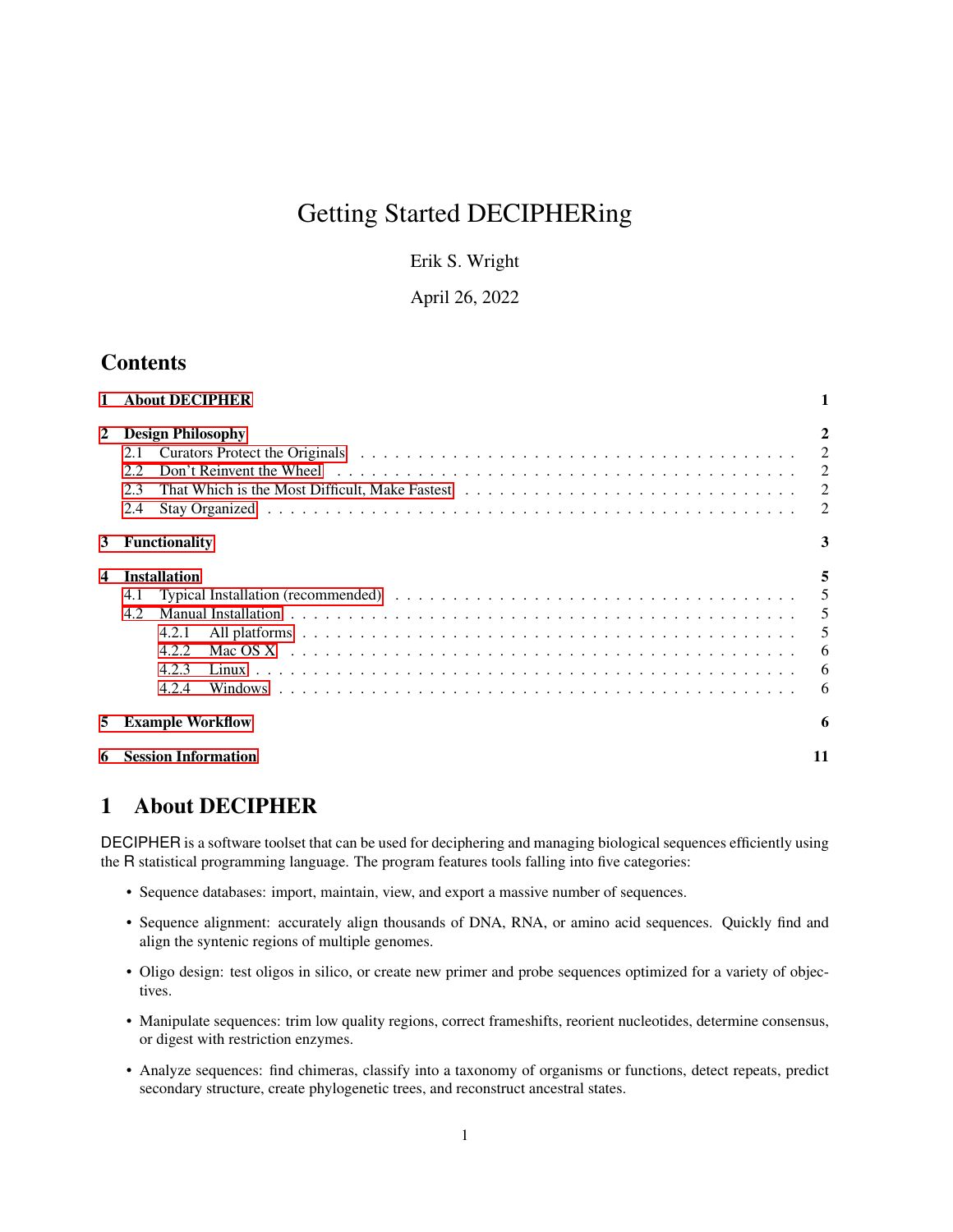# Getting Started DECIPHERing

Erik S. Wright

April 26, 2022

## **Contents**

|              | <b>About DECIPHER</b>                                                 |                                 |
|--------------|-----------------------------------------------------------------------|---------------------------------|
| $\mathbf{2}$ | <b>Design Philosophy</b><br>2.1<br>2.2<br>2.3<br>2.4                  | 2<br>2<br>2<br>2                |
| 3            | <b>Functionality</b>                                                  | 3                               |
| 4            | <b>Installation</b><br>4.1<br>4.2<br>4.2.1<br>4.2.2<br>4.2.3<br>4.2.4 | 5<br>5<br>5<br>5<br>6<br>6<br>6 |
| 5            | <b>Example Workflow</b>                                               | 6                               |
|              | <b>Session Information</b>                                            | 11                              |

## <span id="page-0-0"></span>1 About DECIPHER

DECIPHER is a software toolset that can be used for deciphering and managing biological sequences efficiently using the R statistical programming language. The program features tools falling into five categories:

- Sequence databases: import, maintain, view, and export a massive number of sequences.
- Sequence alignment: accurately align thousands of DNA, RNA, or amino acid sequences. Quickly find and align the syntenic regions of multiple genomes.
- Oligo design: test oligos in silico, or create new primer and probe sequences optimized for a variety of objectives.
- Manipulate sequences: trim low quality regions, correct frameshifts, reorient nucleotides, determine consensus, or digest with restriction enzymes.
- Analyze sequences: find chimeras, classify into a taxonomy of organisms or functions, detect repeats, predict secondary structure, create phylogenetic trees, and reconstruct ancestral states.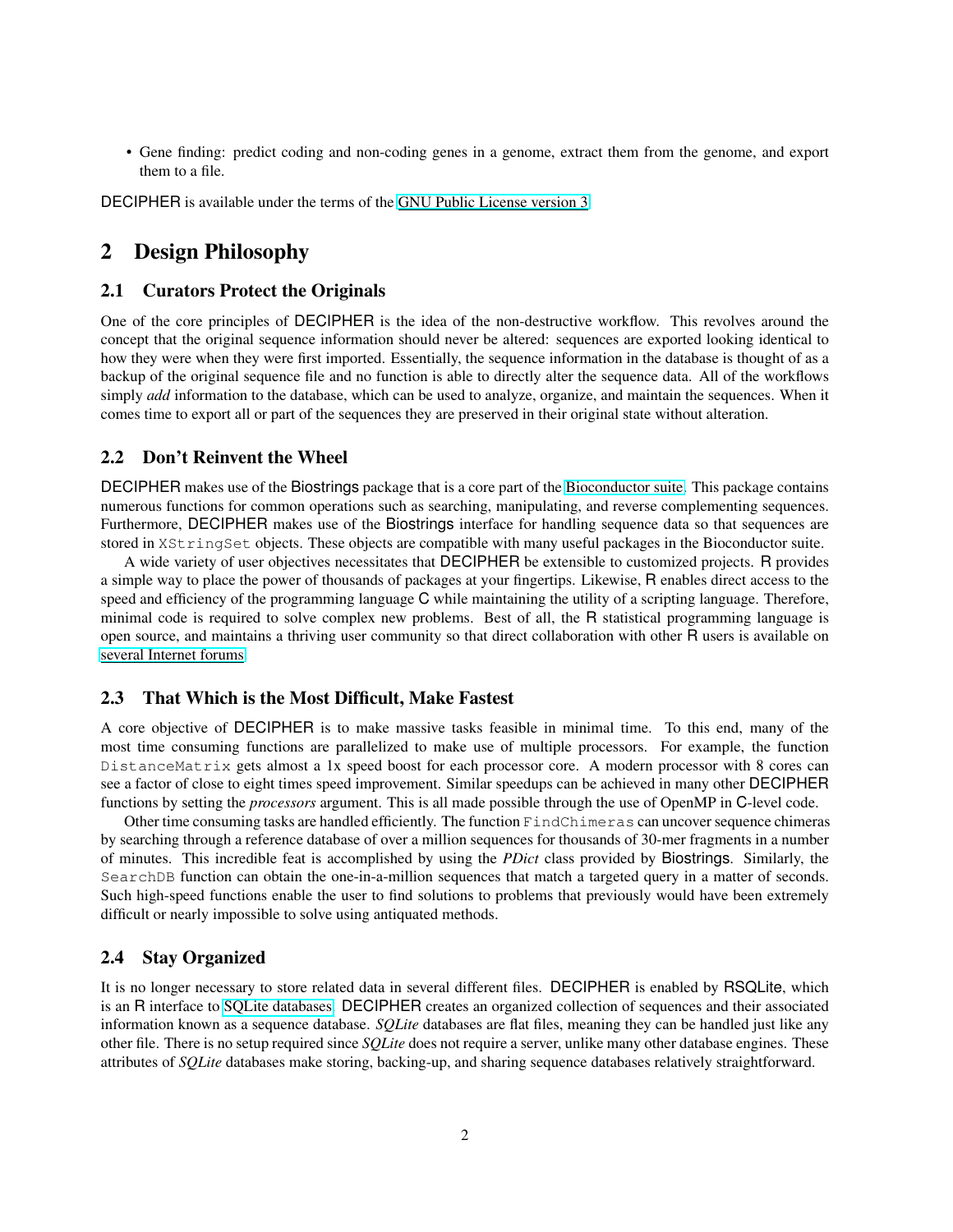• Gene finding: predict coding and non-coding genes in a genome, extract them from the genome, and export them to a file.

DECIPHER is available under the terms of the [GNU Public License version 3.](http://www.gnu.org/copyleft/gpl.html)

## <span id="page-1-0"></span>2 Design Philosophy

### <span id="page-1-1"></span>2.1 Curators Protect the Originals

One of the core principles of DECIPHER is the idea of the non-destructive workflow. This revolves around the concept that the original sequence information should never be altered: sequences are exported looking identical to how they were when they were first imported. Essentially, the sequence information in the database is thought of as a backup of the original sequence file and no function is able to directly alter the sequence data. All of the workflows simply *add* information to the database, which can be used to analyze, organize, and maintain the sequences. When it comes time to export all or part of the sequences they are preserved in their original state without alteration.

### <span id="page-1-2"></span>2.2 Don't Reinvent the Wheel

DECIPHER makes use of the Biostrings package that is a core part of the [Bioconductor suite.](http://www.bioconductor.org/) This package contains numerous functions for common operations such as searching, manipulating, and reverse complementing sequences. Furthermore, DECIPHER makes use of the Biostrings interface for handling sequence data so that sequences are stored in XStringSet objects. These objects are compatible with many useful packages in the Bioconductor suite.

A wide variety of user objectives necessitates that DECIPHER be extensible to customized projects. R provides a simple way to place the power of thousands of packages at your fingertips. Likewise, R enables direct access to the speed and efficiency of the programming language C while maintaining the utility of a scripting language. Therefore, minimal code is required to solve complex new problems. Best of all, the R statistical programming language is open source, and maintains a thriving user community so that direct collaboration with other R users is available on [several Internet forums.](https://stat.ethz.ch/mailman/listinfo)

### <span id="page-1-3"></span>2.3 That Which is the Most Difficult, Make Fastest

A core objective of DECIPHER is to make massive tasks feasible in minimal time. To this end, many of the most time consuming functions are parallelized to make use of multiple processors. For example, the function DistanceMatrix gets almost a 1x speed boost for each processor core. A modern processor with 8 cores can see a factor of close to eight times speed improvement. Similar speedups can be achieved in many other DECIPHER functions by setting the *processors* argument. This is all made possible through the use of OpenMP in C-level code.

Other time consuming tasks are handled efficiently. The function FindChimeras can uncover sequence chimeras by searching through a reference database of over a million sequences for thousands of 30-mer fragments in a number of minutes. This incredible feat is accomplished by using the *PDict* class provided by Biostrings. Similarly, the SearchDB function can obtain the one-in-a-million sequences that match a targeted query in a matter of seconds. Such high-speed functions enable the user to find solutions to problems that previously would have been extremely difficult or nearly impossible to solve using antiquated methods.

## <span id="page-1-4"></span>2.4 Stay Organized

It is no longer necessary to store related data in several different files. DECIPHER is enabled by RSQLite, which is an R interface to [SQLite databases.](http://www.sqlite.org/) DECIPHER creates an organized collection of sequences and their associated information known as a sequence database. *SQLite* databases are flat files, meaning they can be handled just like any other file. There is no setup required since *SQLite* does not require a server, unlike many other database engines. These attributes of *SQLite* databases make storing, backing-up, and sharing sequence databases relatively straightforward.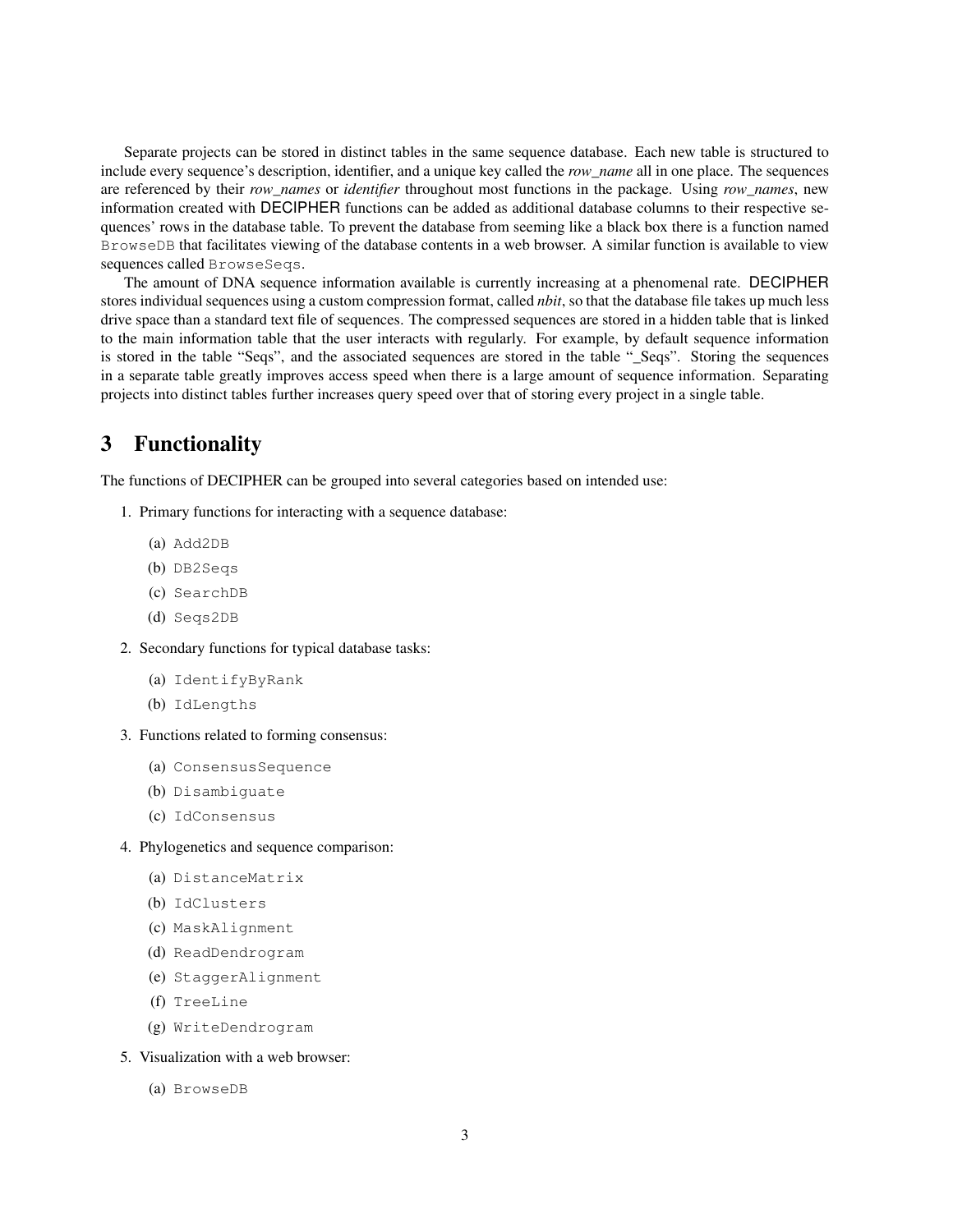Separate projects can be stored in distinct tables in the same sequence database. Each new table is structured to include every sequence's description, identifier, and a unique key called the *row\_name* all in one place. The sequences are referenced by their *row\_names* or *identifier* throughout most functions in the package. Using *row\_names*, new information created with DECIPHER functions can be added as additional database columns to their respective sequences' rows in the database table. To prevent the database from seeming like a black box there is a function named BrowseDB that facilitates viewing of the database contents in a web browser. A similar function is available to view sequences called BrowseSeqs.

The amount of DNA sequence information available is currently increasing at a phenomenal rate. DECIPHER stores individual sequences using a custom compression format, called *nbit*, so that the database file takes up much less drive space than a standard text file of sequences. The compressed sequences are stored in a hidden table that is linked to the main information table that the user interacts with regularly. For example, by default sequence information is stored in the table "Seqs", and the associated sequences are stored in the table "\_Seqs". Storing the sequences in a separate table greatly improves access speed when there is a large amount of sequence information. Separating projects into distinct tables further increases query speed over that of storing every project in a single table.

## <span id="page-2-0"></span>3 Functionality

The functions of DECIPHER can be grouped into several categories based on intended use:

- 1. Primary functions for interacting with a sequence database:
	- (a) Add2DB
	- (b) DB2Seqs
	- (c) SearchDB
	- (d) Seqs2DB
- 2. Secondary functions for typical database tasks:
	- (a) IdentifyByRank
	- (b) IdLengths
- 3. Functions related to forming consensus:
	- (a) ConsensusSequence
	- (b) Disambiguate
	- (c) IdConsensus
- 4. Phylogenetics and sequence comparison:
	- (a) DistanceMatrix
	- (b) IdClusters
	- (c) MaskAlignment
	- (d) ReadDendrogram
	- (e) StaggerAlignment
	- (f) TreeLine
	- (g) WriteDendrogram
- 5. Visualization with a web browser:
	- (a) BrowseDB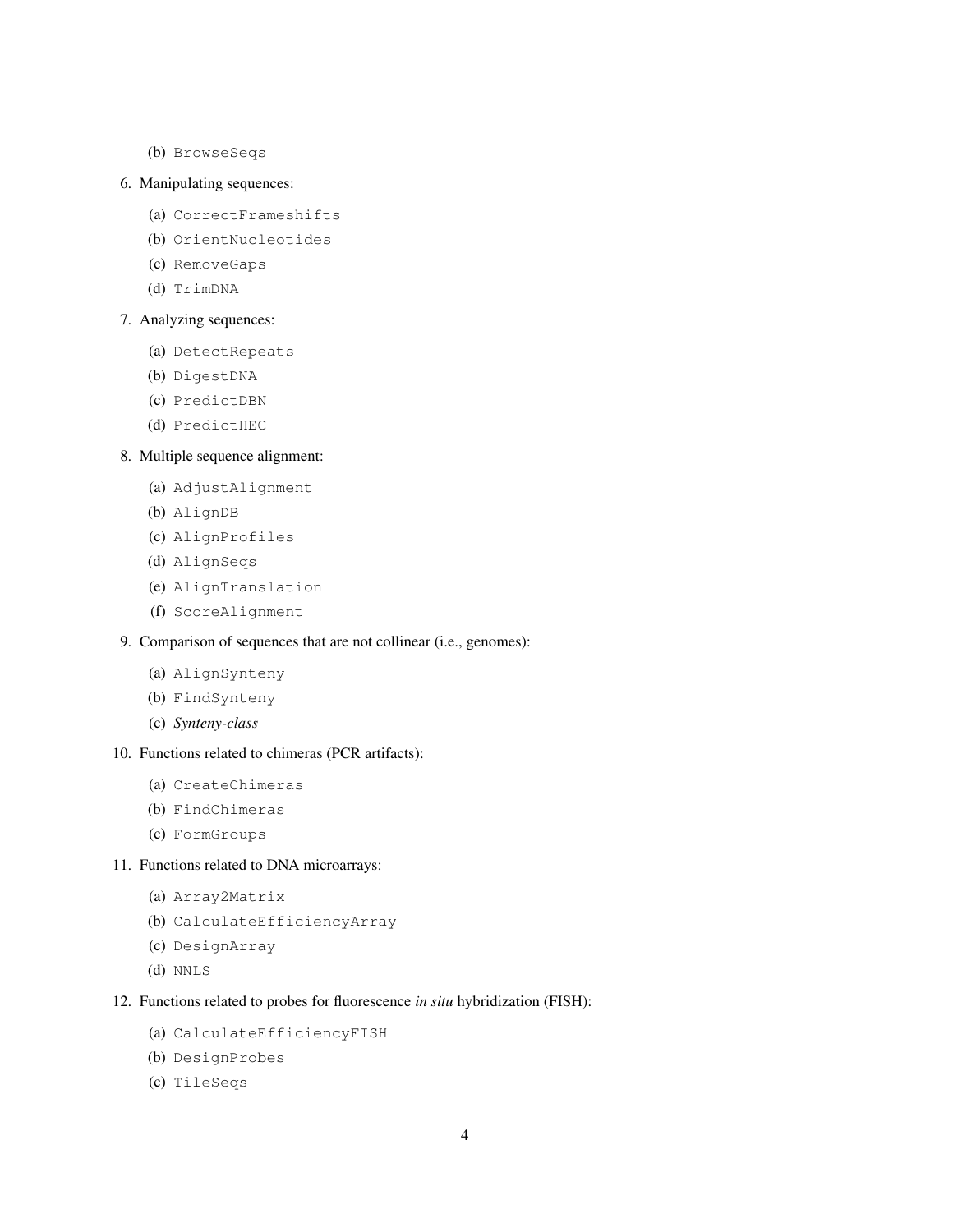(b) BrowseSeqs

### 6. Manipulating sequences:

- (a) CorrectFrameshifts
- (b) OrientNucleotides
- (c) RemoveGaps
- (d) TrimDNA

#### 7. Analyzing sequences:

- (a) DetectRepeats
- (b) DigestDNA
- (c) PredictDBN
- (d) PredictHEC

### 8. Multiple sequence alignment:

- (a) AdjustAlignment
- (b) AlignDB
- (c) AlignProfiles
- (d) AlignSeqs
- (e) AlignTranslation
- (f) ScoreAlignment

## 9. Comparison of sequences that are not collinear (i.e., genomes):

- (a) AlignSynteny
- (b) FindSynteny
- (c) *Synteny-class*

## 10. Functions related to chimeras (PCR artifacts):

- (a) CreateChimeras
- (b) FindChimeras
- (c) FormGroups

## 11. Functions related to DNA microarrays:

- (a) Array2Matrix
- (b) CalculateEfficiencyArray
- (c) DesignArray
- (d) NNLS

#### 12. Functions related to probes for fluorescence *in situ* hybridization (FISH):

- (a) CalculateEfficiencyFISH
- (b) DesignProbes
- (c) TileSeqs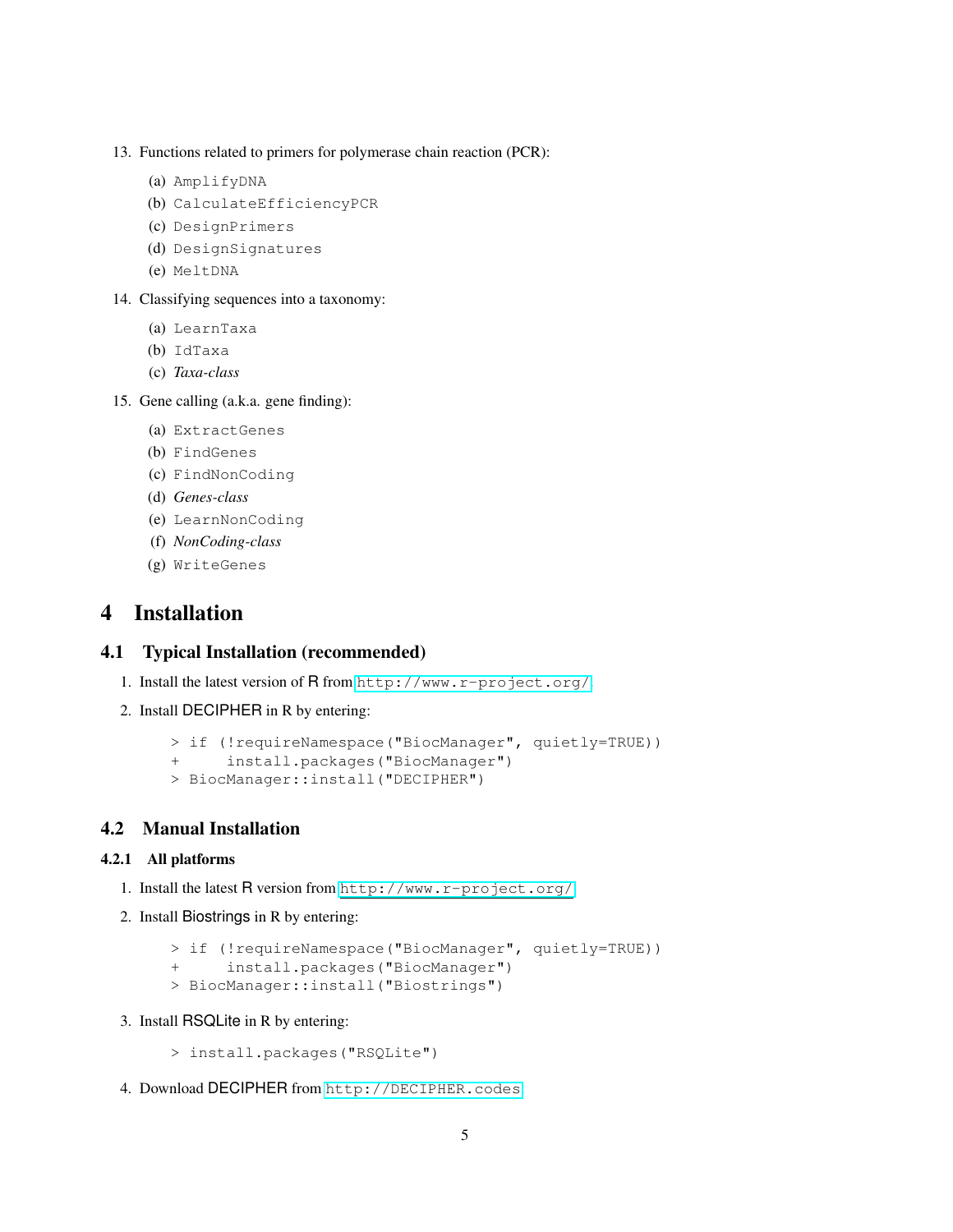- 13. Functions related to primers for polymerase chain reaction (PCR):
	- (a) AmplifyDNA
	- (b) CalculateEfficiencyPCR
	- (c) DesignPrimers
	- (d) DesignSignatures
	- (e) MeltDNA
- 14. Classifying sequences into a taxonomy:
	- (a) LearnTaxa
	- (b) IdTaxa
	- (c) *Taxa-class*
- 15. Gene calling (a.k.a. gene finding):
	- (a) ExtractGenes
	- (b) FindGenes
	- (c) FindNonCoding
	- (d) *Genes-class*
	- (e) LearnNonCoding
	- (f) *NonCoding-class*
	- (g) WriteGenes

## <span id="page-4-0"></span>4 Installation

### <span id="page-4-1"></span>4.1 Typical Installation (recommended)

- 1. Install the latest version of R from <http://www.r-project.org/>.
- 2. Install DECIPHER in R by entering:

```
> if (!requireNamespace("BiocManager", quietly=TRUE))
```

```
+ install.packages("BiocManager")
```

```
> BiocManager::install("DECIPHER")
```
### <span id="page-4-2"></span>4.2 Manual Installation

### <span id="page-4-3"></span>4.2.1 All platforms

- 1. Install the latest R version from <http://www.r-project.org/>.
- 2. Install Biostrings in R by entering:

```
> if (!requireNamespace("BiocManager", quietly=TRUE))
```

```
+ install.packages("BiocManager")
```
- > BiocManager::install("Biostrings")
- 3. Install RSQLite in R by entering:

```
> install.packages("RSQLite")
```
4. Download DECIPHER from <http://DECIPHER.codes>.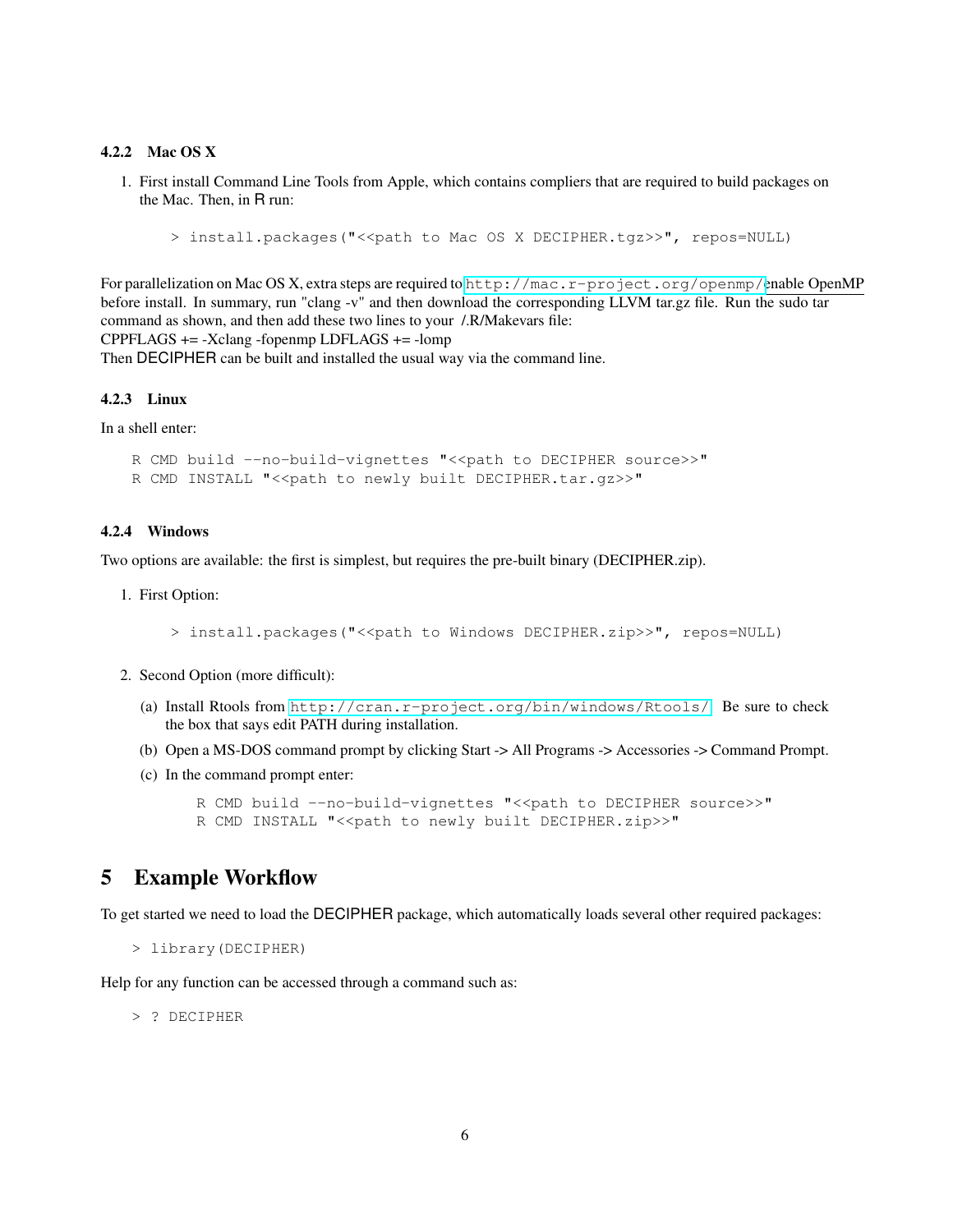#### <span id="page-5-0"></span>4.2.2 Mac OS X

1. First install Command Line Tools from Apple, which contains compliers that are required to build packages on the Mac. Then, in R run:

> install.packages("<<path to Mac OS X DECIPHER.tgz>>", repos=NULL)

For parallelization on Mac OS X, extra steps are required to <http://mac.r-project.org/openmp/>enable OpenMP before install. In summary, run "clang -v" and then download the corresponding LLVM tar.gz file. Run the sudo tar command as shown, and then add these two lines to your /.R/Makevars file: CPPFLAGS += -Xclang -fopenmp LDFLAGS += -lomp

Then DECIPHER can be built and installed the usual way via the command line.

#### <span id="page-5-1"></span>4.2.3 Linux

In a shell enter:

R CMD build --no-build-vignettes "<<path to DECIPHER source>>" R CMD INSTALL "<< path to newly built DECIPHER.tar.gz>>"

#### <span id="page-5-2"></span>4.2.4 Windows

Two options are available: the first is simplest, but requires the pre-built binary (DECIPHER.zip).

1. First Option:

> install.packages("<<path to Windows DECIPHER.zip>>", repos=NULL)

- 2. Second Option (more difficult):
	- (a) Install Rtools from <http://cran.r-project.org/bin/windows/Rtools/>. Be sure to check the box that says edit PATH during installation.
	- (b) Open a MS-DOS command prompt by clicking Start -> All Programs -> Accessories -> Command Prompt.
	- (c) In the command prompt enter:

```
R CMD build --no-build-vignettes "<< path to DECIPHER source>>"
R CMD INSTALL "<< path to newly built DECIPHER.zip>>"
```
## <span id="page-5-3"></span>5 Example Workflow

To get started we need to load the DECIPHER package, which automatically loads several other required packages:

```
> library(DECIPHER)
```
Help for any function can be accessed through a command such as:

> ? DECIPHER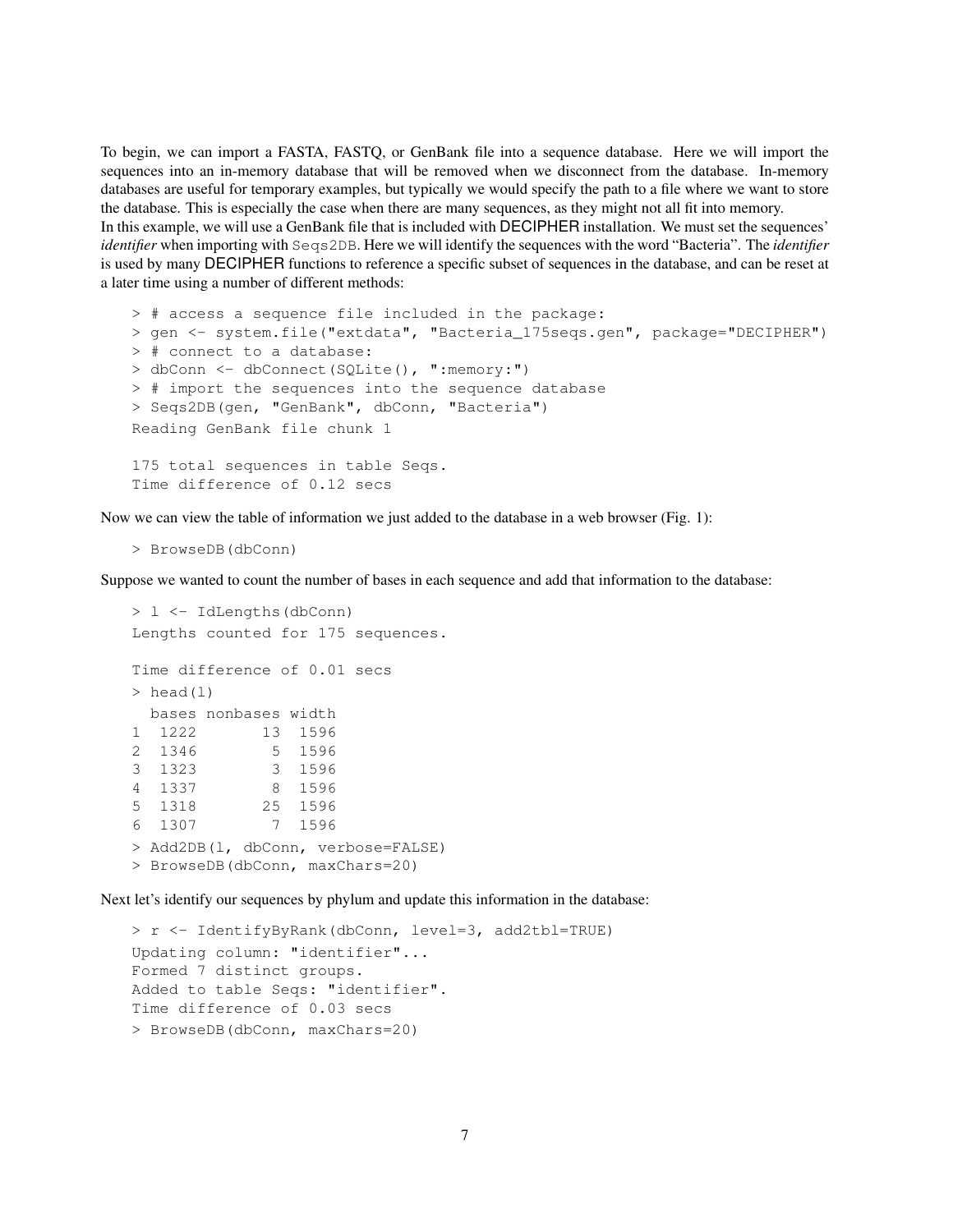To begin, we can import a FASTA, FASTQ, or GenBank file into a sequence database. Here we will import the sequences into an in-memory database that will be removed when we disconnect from the database. In-memory databases are useful for temporary examples, but typically we would specify the path to a file where we want to store the database. This is especially the case when there are many sequences, as they might not all fit into memory. In this example, we will use a GenBank file that is included with DECIPHER installation. We must set the sequences' *identifier* when importing with Seqs2DB. Here we will identify the sequences with the word "Bacteria". The *identifier* is used by many DECIPHER functions to reference a specific subset of sequences in the database, and can be reset at a later time using a number of different methods:

```
> # access a sequence file included in the package:
> gen <- system.file("extdata", "Bacteria_175seqs.gen", package="DECIPHER")
> # connect to a database:
> dbConn <- dbConnect(SQLite(), ":memory:")
> # import the sequences into the sequence database
> Seqs2DB(gen, "GenBank", dbConn, "Bacteria")
Reading GenBank file chunk 1
175 total sequences in table Seqs.
Time difference of 0.12 secs
```
Now we can view the table of information we just added to the database in a web browser (Fig. 1):

```
> BrowseDB(dbConn)
```
Suppose we wanted to count the number of bases in each sequence and add that information to the database:

```
> l <- IdLengths(dbConn)
Lengths counted for 175 sequences.
Time difference of 0.01 secs
> head(1)
 bases nonbases width
1 1222 13 1596
2 1346 5 1596
3 1323 3 1596
4 1337 8 1596
5 1318 25 1596
6 1307 7 1596
> Add2DB(l, dbConn, verbose=FALSE)
> BrowseDB(dbConn, maxChars=20)
```
Next let's identify our sequences by phylum and update this information in the database:

```
> r <- IdentifyByRank(dbConn, level=3, add2tbl=TRUE)
Updating column: "identifier"...
Formed 7 distinct groups.
Added to table Seqs: "identifier".
Time difference of 0.03 secs
> BrowseDB(dbConn, maxChars=20)
```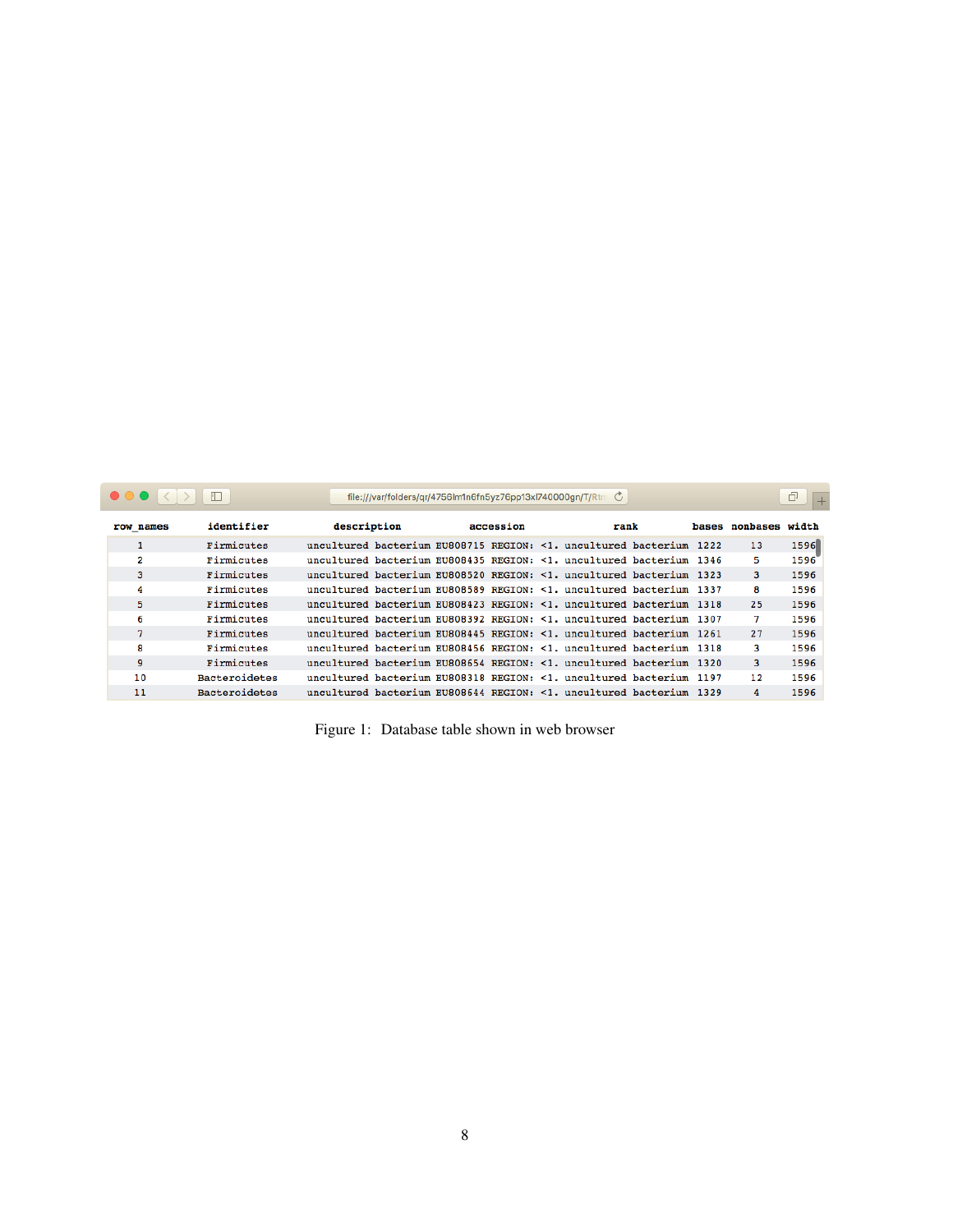|           |                      |             | file:///var/folders/gr/4756lm1n6fn5yz76pp13xl740000gn/T/Rtn C |                                                                     |                      | ð    |
|-----------|----------------------|-------------|---------------------------------------------------------------|---------------------------------------------------------------------|----------------------|------|
| row names | identifier           | description | accession                                                     | rank                                                                | bases nonbases width |      |
|           | Firmicutes           |             |                                                               | uncultured bacterium EU808715 REGION: <1. uncultured bacterium 1222 | 13                   | 1596 |
| 2         | Firmicutes           |             |                                                               | uncultured bacterium EU808435 REGION: <1. uncultured bacterium 1346 | 5                    | 1596 |
| 3         | Firmicutes           |             |                                                               | uncultured bacterium EU808520 REGION: <1. uncultured bacterium 1323 | 3                    | 1596 |
| 4         | Firmicutes           |             |                                                               | uncultured bacterium EU808589 REGION: <1. uncultured bacterium 1337 | 8                    | 1596 |
| 5         | Firmicutes           |             |                                                               | uncultured bacterium EU808423 REGION: <1. uncultured bacterium 1318 | 25                   | 1596 |
| 6         | Firmicutes           |             |                                                               | uncultured bacterium EU808392 REGION: <1. uncultured bacterium 1307 | 7                    | 1596 |
| 7         | Firmicutes           |             |                                                               | uncultured bacterium EU808445 REGION: <1. uncultured bacterium 1261 | 27                   | 1596 |
| 8         | Firmicutes           |             |                                                               | uncultured bacterium EU808456 REGION: <1. uncultured bacterium 1318 | 3                    | 1596 |
| 9         | Firmicutes           |             |                                                               | uncultured bacterium EU808654 REGION: <1. uncultured bacterium 1320 | 3                    | 1596 |
| 10        | <b>Bacteroidetes</b> |             |                                                               | uncultured bacterium EU808318 REGION: <1. uncultured bacterium 1197 | 12                   | 1596 |
| 11        | Bacteroidetes        |             |                                                               | uncultured bacterium EU808644 REGION: <1, uncultured bacterium 1329 | 4                    | 1596 |

|  |  | Figure 1: Database table shown in web browser |  |  |  |  |  |
|--|--|-----------------------------------------------|--|--|--|--|--|
|--|--|-----------------------------------------------|--|--|--|--|--|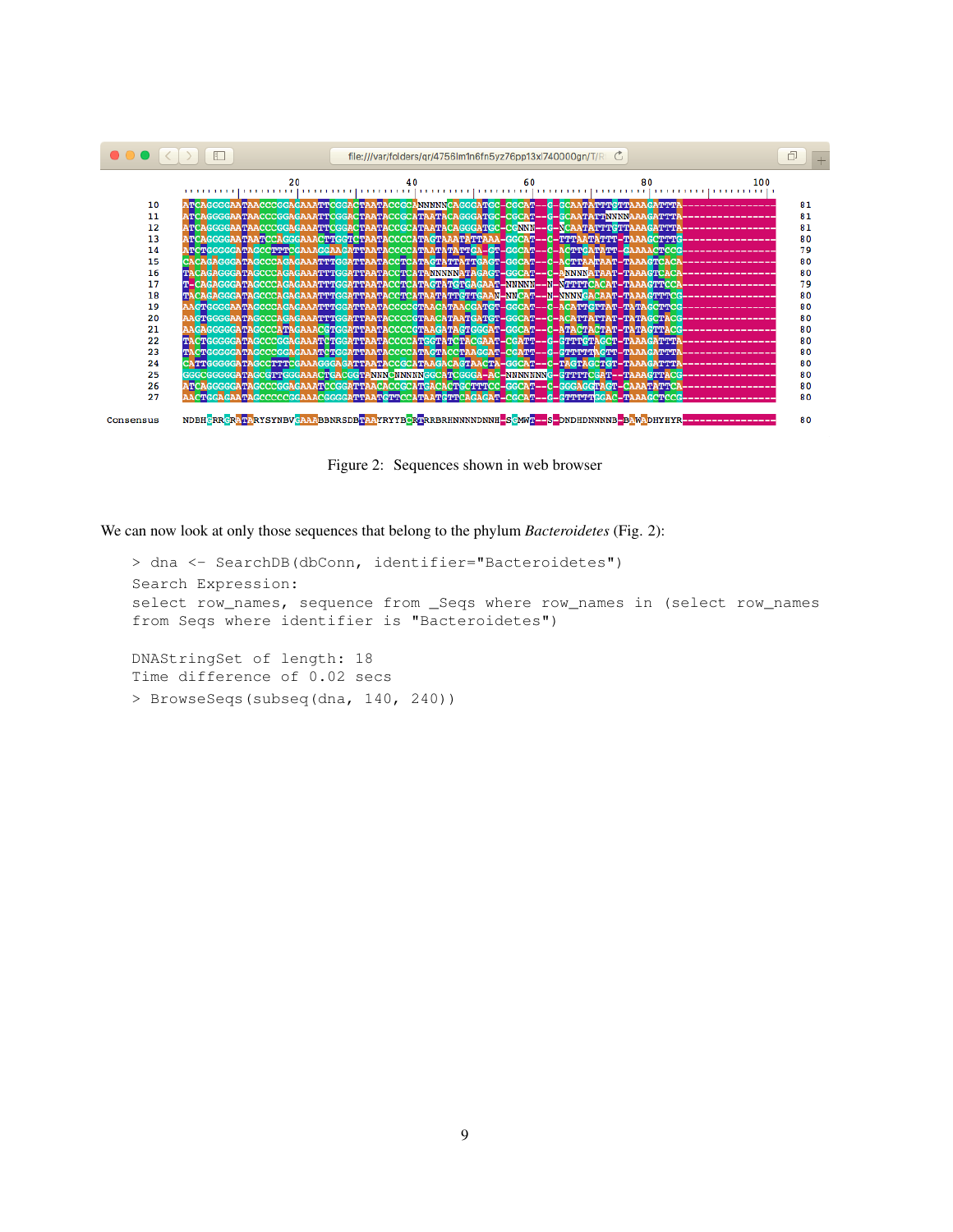

Figure 2: Sequences shown in web browser

We can now look at only those sequences that belong to the phylum *Bacteroidetes* (Fig. 2):

> dna <- SearchDB(dbConn, identifier="Bacteroidetes") Search Expression: select row\_names, sequence from \_Seqs where row\_names in (select row\_names from Seqs where identifier is "Bacteroidetes") DNAStringSet of length: 18 Time difference of 0.02 secs

> BrowseSeqs(subseq(dna, 140, 240))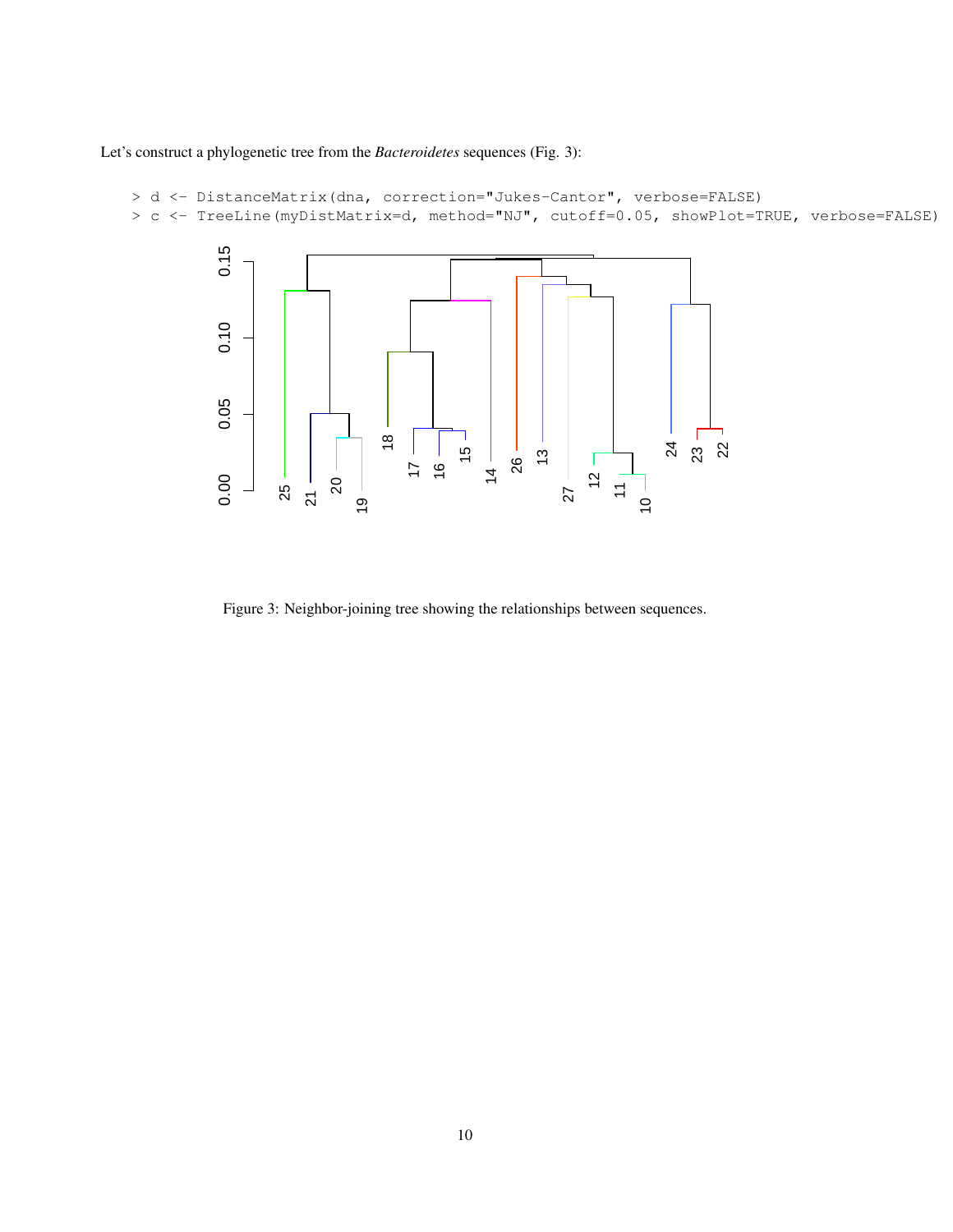Let's construct a phylogenetic tree from the *Bacteroidetes* sequences (Fig. 3):

```
> d <- DistanceMatrix(dna, correction="Jukes-Cantor", verbose=FALSE)
> c <- TreeLine(myDistMatrix=d, method="NJ", cutoff=0.05, showPlot=TRUE, verbose=FALSE)
```


Figure 3: Neighbor-joining tree showing the relationships between sequences.